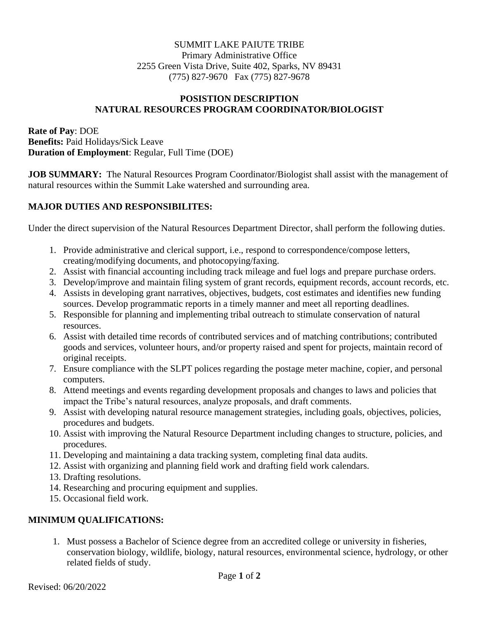### SUMMIT LAKE PAIUTE TRIBE Primary Administrative Office 2255 Green Vista Drive, Suite 402, Sparks, NV 89431 (775) 827-9670 Fax (775) 827-9678

#### **POSISTION DESCRIPTION NATURAL RESOURCES PROGRAM COORDINATOR/BIOLOGIST**

### **Rate of Pay**: DOE **Benefits:** Paid Holidays/Sick Leave **Duration of Employment**: Regular, Full Time (DOE)

**JOB SUMMARY:** The Natural Resources Program Coordinator/Biologist shall assist with the management of natural resources within the Summit Lake watershed and surrounding area.

## **MAJOR DUTIES AND RESPONSIBILITES:**

Under the direct supervision of the Natural Resources Department Director, shall perform the following duties.

- 1. Provide administrative and clerical support, i.e., respond to correspondence/compose letters, creating/modifying documents, and photocopying/faxing.
- 2. Assist with financial accounting including track mileage and fuel logs and prepare purchase orders.
- 3. Develop/improve and maintain filing system of grant records, equipment records, account records, etc.
- 4. Assists in developing grant narratives, objectives, budgets, cost estimates and identifies new funding sources. Develop programmatic reports in a timely manner and meet all reporting deadlines.
- 5. Responsible for planning and implementing tribal outreach to stimulate conservation of natural resources.
- 6. Assist with detailed time records of contributed services and of matching contributions; contributed goods and services, volunteer hours, and/or property raised and spent for projects, maintain record of original receipts.
- 7. Ensure compliance with the SLPT polices regarding the postage meter machine, copier, and personal computers.
- 8. Attend meetings and events regarding development proposals and changes to laws and policies that impact the Tribe's natural resources, analyze proposals, and draft comments.
- 9. Assist with developing natural resource management strategies, including goals, objectives, policies, procedures and budgets.
- 10. Assist with improving the Natural Resource Department including changes to structure, policies, and procedures.
- 11. Developing and maintaining a data tracking system, completing final data audits.
- 12. Assist with organizing and planning field work and drafting field work calendars.
- 13. Drafting resolutions.
- 14. Researching and procuring equipment and supplies.
- 15. Occasional field work.

### **MINIMUM QUALIFICATIONS:**

1. Must possess a Bachelor of Science degree from an accredited college or university in fisheries, conservation biology, wildlife, biology, natural resources, environmental science, hydrology, or other related fields of study.